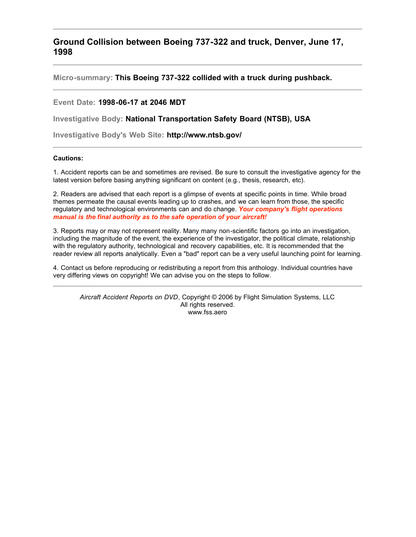**Ground Collision between Boeing 737-322 and truck, Denver, June 17, 1998**

**Micro-summary: This Boeing 737-322 collided with a truck during pushback.**

# **Event Date: 1998-06-17 at 2046 MDT**

**Investigative Body: National Transportation Safety Board (NTSB), USA**

**Investigative Body's Web Site: http://www.ntsb.gov/**

## **Cautions:**

1. Accident reports can be and sometimes are revised. Be sure to consult the investigative agency for the latest version before basing anything significant on content (e.g., thesis, research, etc).

2. Readers are advised that each report is a glimpse of events at specific points in time. While broad themes permeate the causal events leading up to crashes, and we can learn from those, the specific regulatory and technological environments can and do change. *Your company's flight operations manual is the final authority as to the safe operation of your aircraft!*

3. Reports may or may not represent reality. Many many non-scientific factors go into an investigation, including the magnitude of the event, the experience of the investigator, the political climate, relationship with the regulatory authority, technological and recovery capabilities, etc. It is recommended that the reader review all reports analytically. Even a "bad" report can be a very useful launching point for learning.

4. Contact us before reproducing or redistributing a report from this anthology. Individual countries have very differing views on copyright! We can advise you on the steps to follow.

*Aircraft Accident Reports on DVD*, Copyright © 2006 by Flight Simulation Systems, LLC All rights reserved. www.fss.aero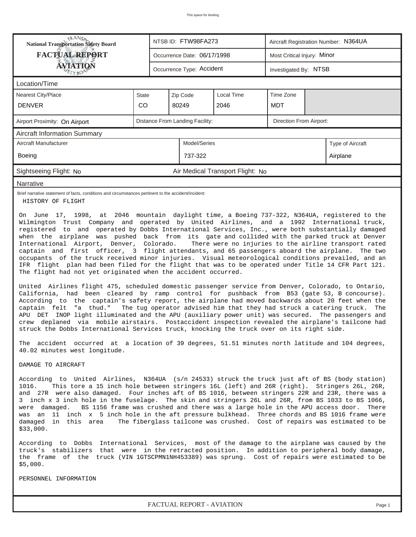| RANS <sub>P</sub> RANSP<br>National Transportation Safety Board                                                                                                                                                                                                                                                                                                                                                                                                                                                                                                                                                                                                                                                                                                                                                                                                                                                                                                                                                                                                                                                                                                                                                                                                                                                                                                                                                                                                                                                                                                                                                                                    |                                                            |  | NTSB ID: FTW98FA273         |                                  |            | Aircraft Registration Number: N364UA |                  |  |  |  |
|----------------------------------------------------------------------------------------------------------------------------------------------------------------------------------------------------------------------------------------------------------------------------------------------------------------------------------------------------------------------------------------------------------------------------------------------------------------------------------------------------------------------------------------------------------------------------------------------------------------------------------------------------------------------------------------------------------------------------------------------------------------------------------------------------------------------------------------------------------------------------------------------------------------------------------------------------------------------------------------------------------------------------------------------------------------------------------------------------------------------------------------------------------------------------------------------------------------------------------------------------------------------------------------------------------------------------------------------------------------------------------------------------------------------------------------------------------------------------------------------------------------------------------------------------------------------------------------------------------------------------------------------------|------------------------------------------------------------|--|-----------------------------|----------------------------------|------------|--------------------------------------|------------------|--|--|--|
| <b>FACTUAL REPORT</b>                                                                                                                                                                                                                                                                                                                                                                                                                                                                                                                                                                                                                                                                                                                                                                                                                                                                                                                                                                                                                                                                                                                                                                                                                                                                                                                                                                                                                                                                                                                                                                                                                              |                                                            |  | Occurrence Date: 06/17/1998 |                                  |            | Most Critical Injury: Minor          |                  |  |  |  |
| ÁVIATIQN<br>ETYBOP                                                                                                                                                                                                                                                                                                                                                                                                                                                                                                                                                                                                                                                                                                                                                                                                                                                                                                                                                                                                                                                                                                                                                                                                                                                                                                                                                                                                                                                                                                                                                                                                                                 |                                                            |  | Occurrence Type: Accident   |                                  |            | Investigated By: NTSB                |                  |  |  |  |
| Location/Time                                                                                                                                                                                                                                                                                                                                                                                                                                                                                                                                                                                                                                                                                                                                                                                                                                                                                                                                                                                                                                                                                                                                                                                                                                                                                                                                                                                                                                                                                                                                                                                                                                      |                                                            |  |                             |                                  |            |                                      |                  |  |  |  |
| Nearest City/Place                                                                                                                                                                                                                                                                                                                                                                                                                                                                                                                                                                                                                                                                                                                                                                                                                                                                                                                                                                                                                                                                                                                                                                                                                                                                                                                                                                                                                                                                                                                                                                                                                                 | Time Zone<br>Zip Code<br>Local Time<br>State               |  |                             |                                  |            |                                      |                  |  |  |  |
| <b>DENVER</b>                                                                                                                                                                                                                                                                                                                                                                                                                                                                                                                                                                                                                                                                                                                                                                                                                                                                                                                                                                                                                                                                                                                                                                                                                                                                                                                                                                                                                                                                                                                                                                                                                                      | CO                                                         |  | 80249                       | 2046                             | <b>MDT</b> |                                      |                  |  |  |  |
| Airport Proximity: On Airport                                                                                                                                                                                                                                                                                                                                                                                                                                                                                                                                                                                                                                                                                                                                                                                                                                                                                                                                                                                                                                                                                                                                                                                                                                                                                                                                                                                                                                                                                                                                                                                                                      | Distance From Landing Facility:<br>Direction From Airport: |  |                             |                                  |            |                                      |                  |  |  |  |
| <b>Aircraft Information Summary</b>                                                                                                                                                                                                                                                                                                                                                                                                                                                                                                                                                                                                                                                                                                                                                                                                                                                                                                                                                                                                                                                                                                                                                                                                                                                                                                                                                                                                                                                                                                                                                                                                                |                                                            |  |                             |                                  |            |                                      |                  |  |  |  |
| Aircraft Manufacturer                                                                                                                                                                                                                                                                                                                                                                                                                                                                                                                                                                                                                                                                                                                                                                                                                                                                                                                                                                                                                                                                                                                                                                                                                                                                                                                                                                                                                                                                                                                                                                                                                              |                                                            |  | Model/Series                |                                  |            |                                      | Type of Aircraft |  |  |  |
| Boeing                                                                                                                                                                                                                                                                                                                                                                                                                                                                                                                                                                                                                                                                                                                                                                                                                                                                                                                                                                                                                                                                                                                                                                                                                                                                                                                                                                                                                                                                                                                                                                                                                                             |                                                            |  | 737-322                     |                                  |            |                                      | Airplane         |  |  |  |
| Sightseeing Flight: No                                                                                                                                                                                                                                                                                                                                                                                                                                                                                                                                                                                                                                                                                                                                                                                                                                                                                                                                                                                                                                                                                                                                                                                                                                                                                                                                                                                                                                                                                                                                                                                                                             |                                                            |  |                             | Air Medical Transport Flight: No |            |                                      |                  |  |  |  |
| Narrative                                                                                                                                                                                                                                                                                                                                                                                                                                                                                                                                                                                                                                                                                                                                                                                                                                                                                                                                                                                                                                                                                                                                                                                                                                                                                                                                                                                                                                                                                                                                                                                                                                          |                                                            |  |                             |                                  |            |                                      |                  |  |  |  |
| Brief narrative statement of facts, conditions and circumstances pertinent to the accident/incident:<br>HISTORY OF FLIGHT                                                                                                                                                                                                                                                                                                                                                                                                                                                                                                                                                                                                                                                                                                                                                                                                                                                                                                                                                                                                                                                                                                                                                                                                                                                                                                                                                                                                                                                                                                                          |                                                            |  |                             |                                  |            |                                      |                  |  |  |  |
| Wilmington Trust Company and operated by United Airlines, and a 1992 International truck,<br>registered to and operated by Dobbs International Services, Inc., were both substantially damaged<br>when the airplane was pushed back from its gate and collided with the parked truck at Denver<br>International Airport, Denver, Colorado.<br>There were no injuries to the airline transport rated<br>captain and first officer, 3 flight attendants, and 65 passengers aboard the airplane. The two<br>occupants of the truck received minor injuries. Visual meteorological conditions prevailed, and an<br>IFR flight plan had been filed for the flight that was to be operated under Title 14 CFR Part 121.<br>The flight had not yet originated when the accident occurred.<br>United Airlines flight 475, scheduled domestic passenger service from Denver, Colorado, to Ontario,<br>California, had been cleared by ramp control for pushback from B53 (gate 53, B concourse).<br>According to the captain's safety report, the airplane had moved backwards about 20 feet when the<br>"a thud."<br>The tug operator advised him that they had struck a catering truck.<br>captain felt<br>The<br>APU DET INOP light illuminated and the APU (auxiliary power unit) was secured. The passengers and<br>crew deplaned via mobile airstairs. Postaccident inspection revealed the airplane's tailcone had<br>struck the Dobbs International Services truck, knocking the truck over on its right side.<br>The accident occurred at a location of 39 degrees, 51.51 minutes north latitude and 104 degrees,<br>40.02 minutes west longitude. |                                                            |  |                             |                                  |            |                                      |                  |  |  |  |
| DAMAGE TO AIRCRAFT<br>According to United Airlines, N364UA (s/n 24533) struck the truck just aft of BS (body station)<br>This tore a 15 inch hole between stringers 16L (left) and 26R (right). Stringers 26L, 26R,<br>1016.<br>and 27R were also damaged. Four inches aft of BS 1016, between stringers 22R and 23R, there was a<br>3 inch x 3 inch hole in the fuselage. The skin and stringers 26L and 26R, from BS 1033 to BS 1066,<br>were damaged. BS 1156 frame was crushed and there was a large hole in the APU access door. There<br>was an 11 inch x 5 inch hole in the aft pressure bulkhead. Three chords and BS 1016 frame were<br>damaged in this area<br>The fiberglass tailcone was crushed. Cost of repairs was estimated to be                                                                                                                                                                                                                                                                                                                                                                                                                                                                                                                                                                                                                                                                                                                                                                                                                                                                                                  |                                                            |  |                             |                                  |            |                                      |                  |  |  |  |
| \$33,000.<br>According to Dobbs International Services, most of the damage to the airplane was caused by the<br>truck's stabilizers that were in the retracted position. In addition to peripheral body damage,<br>the frame of the truck (VIN 1GTSCPMN1NH453389) was sprung. Cost of repairs were estimated to be<br>\$5,000.<br>PERSONNEL INFORMATION                                                                                                                                                                                                                                                                                                                                                                                                                                                                                                                                                                                                                                                                                                                                                                                                                                                                                                                                                                                                                                                                                                                                                                                                                                                                                            |                                                            |  |                             |                                  |            |                                      |                  |  |  |  |

*FACTUAL REPORT - AVIATION Page 1*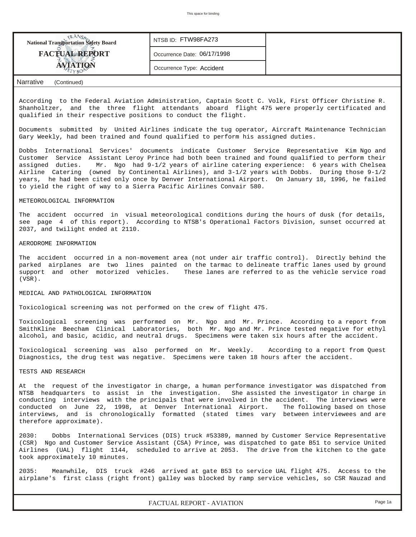

According to the Federal Aviation Administration, Captain Scott C. Volk, First Officer Christine R. Shanholtzer, and the three flight attendants aboard flight 475 were properly certificated and qualified in their respective positions to conduct the flight.

Documents submitted by United Airlines indicate the tug operator, Aircraft Maintenance Technician Gary Weekly, had been trained and found qualified to perform his assigned duties.

Dobbs International Services' documents indicate Customer Service Representative Kim Ngo and Customer Service Assistant Leroy Prince had both been trained and found qualified to perform their assigned duties. Mr. Ngo had 9-1/2 years of airline catering experience: 6 years with Chelsea Airline Catering (owned by Continental Airlines), and 3-1/2 years with Dobbs. During those 9-1/2 years, he had been cited only once by Denver International Airport. On January 18, 1996, he failed to yield the right of way to a Sierra Pacific Airlines Convair 580.

## METEOROLOGICAL INFORMATION

The accident occurred in visual meteorological conditions during the hours of dusk (for details, see page 4 of this report). According to NTSB's Operational Factors Division, sunset occurred at 2037, and twilight ended at 2110.

#### AERODROME INFORMATION

The accident occurred in a non-movement area (not under air traffic control). Directly behind the parked airplanes are two lines painted on the tarmac to delineate traffic lanes used by ground support and other motorized vehicles. These lanes are referred to as the vehicle service road (VSR).

## MEDICAL AND PATHOLOGICAL INFORMATION

Toxicological screening was not performed on the crew of flight 475.

Toxicological screening was performed on Mr. Ngo and Mr. Prince. According to a report from SmithKline Beecham Clinical Laboratories, both Mr. Ngo and Mr. Prince tested negative for ethyl alcohol, and basic, acidic, and neutral drugs. Specimens were taken six hours after the accident.

Toxicological screening was also performed on Mr. Weekly. According to a report from Quest Diagnostics, the drug test was negative. Specimens were taken 18 hours after the accident.

#### TESTS AND RESEARCH

At the request of the investigator in charge, a human performance investigator was dispatched from NTSB headquarters to assist in the investigation. She assisted the investigator in charge in conducting interviews with the principals that were involved in the accident. The interviews were conducted on June 22, 1998, at Denver International Airport. The following based on those interviews, and is chronologically formatted (stated times vary between interviewees and are therefore approximate).

2030: Dobbs International Services (DIS) truck #53389, manned by Customer Service Representative (CSR) Ngo and Customer Service Assistant (CSA) Prince, was dispatched to gate B51 to service United Airlines (UAL) flight 1144, scheduled to arrive at 2053. The drive from the kitchen to the gate took approximately 10 minutes.

2035: Meanwhile, DIS truck #246 arrived at gate B53 to service UAL flight 475. Access to the airplane's first class (right front) galley was blocked by ramp service vehicles, so CSR Nauzad and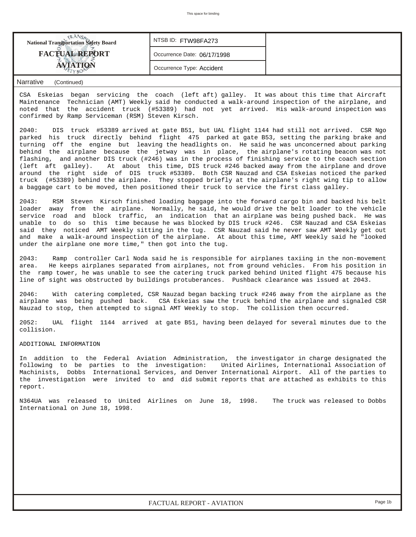| <b>National Transportation Safety Board</b> | NTSBID: FTW98FA273          |  |
|---------------------------------------------|-----------------------------|--|
| <b>FACTUAL REPORT</b>                       | Occurrence Date: 06/17/1998 |  |
|                                             | Occurrence Type: Accident   |  |

## *Narrative (Continued)*

CSA Eskeias began servicing the coach (left aft) galley. It was about this time that Aircraft Maintenance Technician (AMT) Weekly said he conducted a walk-around inspection of the airplane, and noted that the accident truck (#53389) had not yet arrived. His walk-around inspection was confirmed by Ramp Serviceman (RSM) Steven Kirsch.

2040: DIS truck #53389 arrived at gate B51, but UAL flight 1144 had still not arrived. CSR Ngo parked his truck directly behind flight 475 parked at gate B53, setting the parking brake and turning off the engine but leaving the headlights on. He said he was unconcerned about parking behind the airplane because the jetway was in place, the airplane's rotating beacon was not flashing, and another DIS truck (#246) was in the process of finishing service to the coach section (left aft galley). At about this time, DIS truck #246 backed away from the airplane and drove around the right side of DIS truck #53389. Both CSR Nauzad and CSA Eskeias noticed the parked truck (#53389) behind the airplane. They stopped briefly at the airplane's right wing tip to allow a baggage cart to be moved, then positioned their truck to service the first class galley.

2043: RSM Steven Kirsch finished loading baggage into the forward cargo bin and backed his belt loader away from the airplane. Normally, he said, he would drive the belt loader to the vehicle service road and block traffic, an indication that an airplane was being pushed back. He was unable to do so this time because he was blocked by DIS truck #246. CSR Nauzad and CSA Eskeias said they noticed AMT Weekly sitting in the tug. CSR Nauzad said he never saw AMT Weekly get out and make a walk-around inspection of the airplane. At about this time, AMT Weekly said he "looked under the airplane one more time," then got into the tug.

2043: Ramp controller Carl Noda said he is responsible for airplanes taxiing in the non-movement<br>area. He keeps airplanes separated from airplanes, not from ground vehicles. From his position in He keeps airplanes separated from airplanes, not from ground vehicles. From his position in the ramp tower, he was unable to see the catering truck parked behind United flight 475 because his line of sight was obstructed by buildings protuberances. Pushback clearance was issued at 2043.

2046: With catering completed, CSR Nauzad began backing truck #246 away from the airplane as the airplane was being pushed back. CSA Eskeias saw the truck behind the airplane and signaled CSR Nauzad to stop, then attempted to signal AMT Weekly to stop. The collision then occurred.

2052: UAL flight 1144 arrived at gate B51, having been delayed for several minutes due to the collision.

#### ADDITIONAL INFORMATION

In addition to the Federal Aviation Administration, the investigator in charge designated the following to be parties to the investigation: United Airlines, International Association of Machinists, Dobbs International Services, and Denver International Airport. All of the parties to the investigation were invited to and did submit reports that are attached as exhibits to this report.

N364UA was released to United Airlines on June 18, 1998. The truck was released to Dobbs International on June 18, 1998.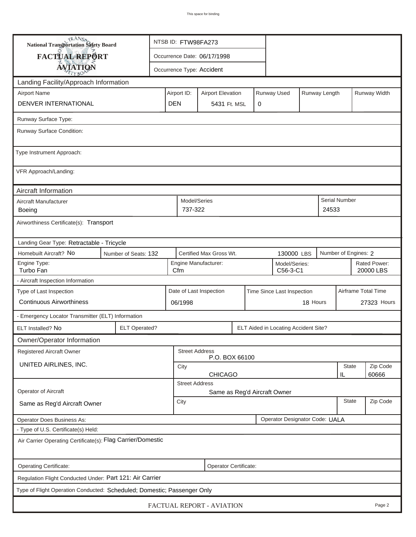| <b>National Transportation Safety Board</b>                             |                      | NTSB ID: FTW98FA273                                    |                                                          |                             |  |   |                                      |          |                      |                           |              |  |
|-------------------------------------------------------------------------|----------------------|--------------------------------------------------------|----------------------------------------------------------|-----------------------------|--|---|--------------------------------------|----------|----------------------|---------------------------|--------------|--|
| FACTUAL REPORT                                                          |                      |                                                        |                                                          | Occurrence Date: 06/17/1998 |  |   |                                      |          |                      |                           |              |  |
| <b>AVIATION</b>                                                         |                      |                                                        |                                                          | Occurrence Type: Accident   |  |   |                                      |          |                      |                           |              |  |
| Landing Facility/Approach Information                                   |                      |                                                        |                                                          |                             |  |   |                                      |          |                      |                           |              |  |
| <b>Airport Name</b><br>Airport ID:                                      |                      |                                                        |                                                          | <b>Airport Elevation</b>    |  |   | Runway Used                          |          | Runway Length        |                           | Runway Width |  |
| DENVER INTERNATIONAL<br><b>DEN</b>                                      |                      |                                                        |                                                          | 5431 Ft. MSL                |  | 0 |                                      |          |                      |                           |              |  |
| Runway Surface Type:                                                    |                      |                                                        |                                                          |                             |  |   |                                      |          |                      |                           |              |  |
| Runway Surface Condition:                                               |                      |                                                        |                                                          |                             |  |   |                                      |          |                      |                           |              |  |
| Type Instrument Approach:                                               |                      |                                                        |                                                          |                             |  |   |                                      |          |                      |                           |              |  |
| VFR Approach/Landing:                                                   |                      |                                                        |                                                          |                             |  |   |                                      |          |                      |                           |              |  |
| Aircraft Information                                                    |                      |                                                        |                                                          |                             |  |   |                                      |          |                      |                           |              |  |
| Aircraft Manufacturer<br><b>Boeing</b>                                  |                      |                                                        | Model/Series<br>737-322                                  |                             |  |   |                                      |          | 24533                | Serial Number             |              |  |
| Airworthiness Certificate(s): Transport                                 |                      |                                                        |                                                          |                             |  |   |                                      |          |                      |                           |              |  |
| Landing Gear Type: Retractable - Tricycle                               |                      |                                                        |                                                          |                             |  |   |                                      |          |                      |                           |              |  |
| Homebuilt Aircraft? No                                                  | Number of Seats: 132 |                                                        | Certified Max Gross Wt.<br>130000 LBS                    |                             |  |   |                                      |          | Number of Engines: 2 |                           |              |  |
| Engine Type:<br>Turbo Fan                                               |                      |                                                        | Engine Manufacturer:<br>Model/Series:<br>Cfm<br>C56-3-C1 |                             |  |   |                                      |          |                      | Rated Power:<br>20000 LBS |              |  |
| - Aircraft Inspection Information                                       |                      |                                                        |                                                          |                             |  |   |                                      |          |                      |                           |              |  |
| Type of Last Inspection                                                 |                      | Date of Last Inspection<br>Time Since Last Inspection  |                                                          |                             |  |   |                                      |          |                      | Airframe Total Time       |              |  |
| <b>Continuous Airworthiness</b>                                         |                      |                                                        | 06/1998                                                  |                             |  |   |                                      | 18 Hours | 27323 Hours          |                           |              |  |
| - Emergency Locator Transmitter (ELT) Information                       |                      |                                                        |                                                          |                             |  |   |                                      |          |                      |                           |              |  |
| ELT Installed? No                                                       | <b>ELT Operated?</b> |                                                        |                                                          |                             |  |   | ELT Aided in Locating Accident Site? |          |                      |                           |              |  |
| Owner/Operator Information                                              |                      |                                                        |                                                          |                             |  |   |                                      |          |                      |                           |              |  |
| Registered Aircraft Owner                                               |                      |                                                        | <b>Street Address</b>                                    | P.O. BOX 66100              |  |   |                                      |          |                      |                           |              |  |
| UNITED AIRLINES, INC.                                                   |                      | <b>State</b><br>City                                   |                                                          |                             |  |   |                                      |          |                      | Zip Code                  |              |  |
|                                                                         |                      | <b>CHICAGO</b><br>60666<br>IL<br><b>Street Address</b> |                                                          |                             |  |   |                                      |          |                      |                           |              |  |
| Operator of Aircraft                                                    |                      | Same as Reg'd Aircraft Owner                           |                                                          |                             |  |   |                                      |          |                      |                           |              |  |
| Same as Reg'd Aircraft Owner                                            |                      | <b>State</b><br>City                                   |                                                          |                             |  |   |                                      |          |                      | Zip Code                  |              |  |
| Operator Designator Code: UALA<br>Operator Does Business As:            |                      |                                                        |                                                          |                             |  |   |                                      |          |                      |                           |              |  |
| - Type of U.S. Certificate(s) Held:                                     |                      |                                                        |                                                          |                             |  |   |                                      |          |                      |                           |              |  |
| Air Carrier Operating Certificate(s): Flag Carrier/Domestic             |                      |                                                        |                                                          |                             |  |   |                                      |          |                      |                           |              |  |
| Operating Certificate:<br>Operator Certificate:                         |                      |                                                        |                                                          |                             |  |   |                                      |          |                      |                           |              |  |
| Regulation Flight Conducted Under: Part 121: Air Carrier                |                      |                                                        |                                                          |                             |  |   |                                      |          |                      |                           |              |  |
| Type of Flight Operation Conducted: Scheduled; Domestic; Passenger Only |                      |                                                        |                                                          |                             |  |   |                                      |          |                      |                           |              |  |
| FACTUAL REPORT - AVIATION<br>Page 2                                     |                      |                                                        |                                                          |                             |  |   |                                      |          |                      |                           |              |  |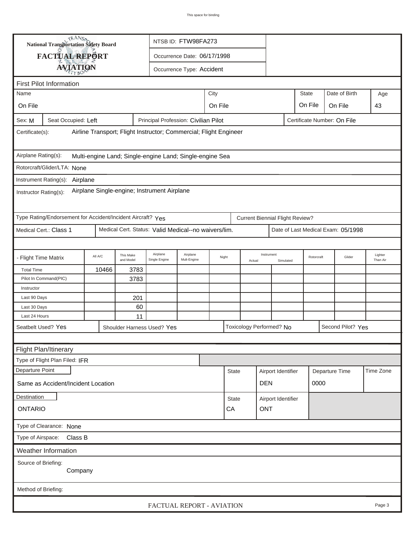|                                                                                                      | <b>National Transportation Safety Board</b>                 |         |                        | NTSB ID: FTW98FA273                                  |                             |         |                  |        |                                        |                    |              |                |                                    |                     |  |
|------------------------------------------------------------------------------------------------------|-------------------------------------------------------------|---------|------------------------|------------------------------------------------------|-----------------------------|---------|------------------|--------|----------------------------------------|--------------------|--------------|----------------|------------------------------------|---------------------|--|
|                                                                                                      | FACTUAL REPORT                                              |         |                        |                                                      | Occurrence Date: 06/17/1998 |         |                  |        |                                        |                    |              |                |                                    |                     |  |
|                                                                                                      |                                                             |         |                        |                                                      | Occurrence Type: Accident   |         |                  |        |                                        |                    |              |                |                                    |                     |  |
| <b>AVIATION</b>                                                                                      |                                                             |         |                        |                                                      |                             |         |                  |        |                                        |                    |              |                |                                    |                     |  |
| <b>First Pilot Information</b>                                                                       |                                                             |         |                        |                                                      |                             |         |                  |        |                                        |                    |              |                |                                    |                     |  |
| Name                                                                                                 |                                                             |         |                        |                                                      |                             | City    |                  |        |                                        |                    | <b>State</b> |                | Date of Birth                      | Age                 |  |
| On File                                                                                              |                                                             |         |                        |                                                      |                             | On File |                  |        |                                        |                    | On File      |                | On File                            | 43                  |  |
| Seat Occupied: Left<br>Principal Profession: Civilian Pilot<br>Certificate Number: On File<br>Sex: M |                                                             |         |                        |                                                      |                             |         |                  |        |                                        |                    |              |                |                                    |                     |  |
| Airline Transport; Flight Instructor; Commercial; Flight Engineer<br>Certificate(s):                 |                                                             |         |                        |                                                      |                             |         |                  |        |                                        |                    |              |                |                                    |                     |  |
| Airplane Rating(s):<br>Multi-engine Land; Single-engine Land; Single-engine Sea                      |                                                             |         |                        |                                                      |                             |         |                  |        |                                        |                    |              |                |                                    |                     |  |
| Rotorcraft/Glider/LTA: None                                                                          |                                                             |         |                        |                                                      |                             |         |                  |        |                                        |                    |              |                |                                    |                     |  |
|                                                                                                      | Instrument Rating(s): Airplane                              |         |                        |                                                      |                             |         |                  |        |                                        |                    |              |                |                                    |                     |  |
| Airplane Single-engine; Instrument Airplane<br>Instructor Rating(s):                                 |                                                             |         |                        |                                                      |                             |         |                  |        |                                        |                    |              |                |                                    |                     |  |
|                                                                                                      | Type Rating/Endorsement for Accident/Incident Aircraft? Yes |         |                        |                                                      |                             |         |                  |        | <b>Current Biennial Flight Review?</b> |                    |              |                |                                    |                     |  |
| Medical Cert.: Class 1                                                                               |                                                             |         |                        | Medical Cert. Status: Valid Medical--no waivers/lim. |                             |         |                  |        |                                        |                    |              |                | Date of Last Medical Exam: 05/1998 |                     |  |
|                                                                                                      |                                                             |         |                        |                                                      |                             |         |                  |        |                                        |                    |              |                |                                    |                     |  |
| - Flight Time Matrix                                                                                 |                                                             | All A/C | This Make<br>and Model | Airplane<br>Single Engine                            | Airplane<br>Mult-Engine     | Night   |                  | Actual | Instrument                             | Simulated          |              | Rotorcraft     | Glider                             | Lighter<br>Than Air |  |
| <b>Total Time</b>                                                                                    |                                                             | 10466   | 3783                   |                                                      |                             |         |                  |        |                                        |                    |              |                |                                    |                     |  |
| Pilot In Command(PIC)                                                                                |                                                             |         | 3783                   |                                                      |                             |         |                  |        |                                        |                    |              |                |                                    |                     |  |
| Instructor                                                                                           |                                                             |         |                        |                                                      |                             |         |                  |        |                                        |                    |              |                |                                    |                     |  |
| Last 90 Days                                                                                         |                                                             |         | 201                    |                                                      |                             |         |                  |        |                                        |                    |              |                |                                    |                     |  |
| Last 30 Days                                                                                         |                                                             |         | 60                     |                                                      |                             |         |                  |        |                                        |                    |              |                |                                    |                     |  |
| Last 24 Hours                                                                                        |                                                             |         | 11                     |                                                      |                             |         |                  |        |                                        |                    |              |                |                                    |                     |  |
| Seatbelt Used? Yes                                                                                   |                                                             |         |                        | Shoulder Harness Used? Yes                           |                             |         |                  |        | Toxicology Performed? No               |                    |              |                | Second Pilot? Yes                  |                     |  |
|                                                                                                      |                                                             |         |                        |                                                      |                             |         |                  |        |                                        |                    |              |                |                                    |                     |  |
|                                                                                                      | Flight Plan/Itinerary                                       |         |                        |                                                      |                             |         |                  |        |                                        |                    |              |                |                                    |                     |  |
|                                                                                                      | Type of Flight Plan Filed: IFR                              |         |                        |                                                      |                             |         |                  |        |                                        |                    |              |                |                                    |                     |  |
| Departure Point                                                                                      |                                                             |         |                        |                                                      |                             |         | <b>State</b>     |        |                                        | Airport Identifier |              | Departure Time |                                    | Time Zone           |  |
|                                                                                                      | Same as Accident/Incident Location                          |         |                        |                                                      |                             |         |                  |        | <b>DEN</b>                             |                    |              |                | 0000                               |                     |  |
| Destination                                                                                          |                                                             |         |                        |                                                      |                             |         | State            |        |                                        | Airport Identifier |              |                |                                    |                     |  |
| <b>ONTARIO</b>                                                                                       |                                                             |         |                        |                                                      |                             |         | <b>ONT</b><br>CA |        |                                        |                    |              |                |                                    |                     |  |
| Type of Clearance: None                                                                              |                                                             |         |                        |                                                      |                             |         |                  |        |                                        |                    |              |                |                                    |                     |  |
| Class B<br>Type of Airspace:                                                                         |                                                             |         |                        |                                                      |                             |         |                  |        |                                        |                    |              |                |                                    |                     |  |
|                                                                                                      | <b>Weather Information</b>                                  |         |                        |                                                      |                             |         |                  |        |                                        |                    |              |                |                                    |                     |  |
| Source of Briefing:<br>Company                                                                       |                                                             |         |                        |                                                      |                             |         |                  |        |                                        |                    |              |                |                                    |                     |  |
| Method of Briefing:                                                                                  |                                                             |         |                        |                                                      |                             |         |                  |        |                                        |                    |              |                |                                    |                     |  |
|                                                                                                      |                                                             |         |                        | FACTUAL REPORT - AVIATION                            |                             |         |                  |        |                                        |                    |              |                |                                    | Page 3              |  |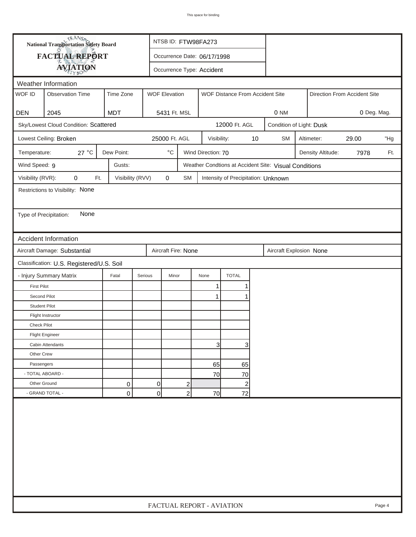| <b>National Transportation Safety Board</b> |                                           | NTSB ID: FTW98FA273 |                             |                           |                    |                                     |    |                                                       |                              |                   |      |        |  |  |
|---------------------------------------------|-------------------------------------------|---------------------|-----------------------------|---------------------------|--------------------|-------------------------------------|----|-------------------------------------------------------|------------------------------|-------------------|------|--------|--|--|
|                                             | FACTUAL REPORT                            |                     | Occurrence Date: 06/17/1998 |                           |                    |                                     |    |                                                       |                              |                   |      |        |  |  |
|                                             | <b>AVIATION</b>                           |                     |                             | Occurrence Type: Accident |                    |                                     |    |                                                       |                              |                   |      |        |  |  |
|                                             | Weather Information                       |                     |                             |                           |                    |                                     |    |                                                       |                              |                   |      |        |  |  |
| WOF ID                                      | <b>Observation Time</b>                   | Time Zone           | <b>WOF Elevation</b>        |                           |                    | WOF Distance From Accident Site     |    |                                                       | Direction From Accident Site |                   |      |        |  |  |
|                                             |                                           |                     |                             |                           |                    |                                     |    |                                                       |                              |                   |      |        |  |  |
| <b>DEN</b>                                  | 2045                                      | <b>MDT</b>          | 5431 Ft. MSL                |                           |                    |                                     |    |                                                       | 0 NM<br>0 Deg. Mag.          |                   |      |        |  |  |
|                                             | Sky/Lowest Cloud Condition: Scattered     |                     |                             |                           |                    | 12000 Ft. AGL                       |    |                                                       | Condition of Light: Dusk     |                   |      |        |  |  |
|                                             | Lowest Ceiling: Broken                    |                     | 25000 Ft. AGL               |                           | Visibility:        |                                     | 10 | <b>SM</b>                                             | Altimeter:<br>29.00          |                   |      |        |  |  |
| Temperature:                                | 27 °C                                     | Dew Point:          | $^{\circ} \text{C}$         |                           | Wind Direction: 70 |                                     |    |                                                       |                              | Density Altitude: | 7978 | Ft.    |  |  |
| Wind Speed: 9                               |                                           | Gusts:              |                             |                           |                    |                                     |    | Weather Condtions at Accident Site: Visual Conditions |                              |                   |      |        |  |  |
| Visibility (RVR):                           | 0<br>Ft.                                  | Visibility (RVV)    | $\mathbf 0$                 | <b>SM</b>                 |                    | Intensity of Precipitation: Unknown |    |                                                       |                              |                   |      |        |  |  |
|                                             | Restrictions to Visibility: None          |                     |                             |                           |                    |                                     |    |                                                       |                              |                   |      |        |  |  |
|                                             |                                           |                     |                             |                           |                    |                                     |    |                                                       |                              |                   |      |        |  |  |
| Type of Precipitation:                      | None                                      |                     |                             |                           |                    |                                     |    |                                                       |                              |                   |      |        |  |  |
|                                             |                                           |                     |                             |                           |                    |                                     |    |                                                       |                              |                   |      |        |  |  |
|                                             | <b>Accident Information</b>               |                     |                             |                           |                    |                                     |    |                                                       |                              |                   |      |        |  |  |
|                                             | Aircraft Damage: Substantial              |                     | Aircraft Fire: None         |                           |                    |                                     |    | Aircraft Explosion None                               |                              |                   |      |        |  |  |
|                                             | Classification: U.S. Registered/U.S. Soil |                     |                             |                           |                    |                                     |    |                                                       |                              |                   |      |        |  |  |
|                                             | - Injury Summary Matrix                   | Fatal               | Serious<br>Minor            |                           | None               | <b>TOTAL</b>                        |    |                                                       |                              |                   |      |        |  |  |
| <b>First Pilot</b>                          |                                           |                     |                             |                           | 1                  | 1                                   |    |                                                       |                              |                   |      |        |  |  |
| Second Pilot                                |                                           |                     |                             |                           | $\mathbf{1}$       | 1                                   |    |                                                       |                              |                   |      |        |  |  |
| <b>Student Pilot</b>                        |                                           |                     |                             |                           |                    |                                     |    |                                                       |                              |                   |      |        |  |  |
|                                             | Flight Instructor                         |                     |                             |                           |                    |                                     |    |                                                       |                              |                   |      |        |  |  |
| <b>Check Pilot</b>                          |                                           |                     |                             |                           |                    |                                     |    |                                                       |                              |                   |      |        |  |  |
|                                             | <b>Flight Engineer</b>                    |                     |                             |                           |                    |                                     |    |                                                       |                              |                   |      |        |  |  |
|                                             | Cabin Attendants                          |                     |                             |                           | 3                  | 3                                   |    |                                                       |                              |                   |      |        |  |  |
| Other Crew                                  |                                           |                     |                             |                           |                    |                                     |    |                                                       |                              |                   |      |        |  |  |
| Passengers                                  |                                           |                     |                             |                           | 65                 | 65                                  |    |                                                       |                              |                   |      |        |  |  |
| - TOTAL ABOARD -                            |                                           |                     |                             |                           | 70                 | 70                                  |    |                                                       |                              |                   |      |        |  |  |
| Other Ground                                |                                           | 0                   | 0                           | $\overline{\mathbf{c}}$   |                    | $\overline{c}$                      |    |                                                       |                              |                   |      |        |  |  |
|                                             | - GRAND TOTAL -                           | 0                   | $\overline{0}$              | $\overline{a}$            | 70                 | 72                                  |    |                                                       |                              |                   |      |        |  |  |
|                                             |                                           |                     |                             |                           |                    |                                     |    |                                                       |                              |                   |      |        |  |  |
|                                             |                                           |                     | FACTUAL REPORT - AVIATION   |                           |                    |                                     |    |                                                       |                              |                   |      | Page 4 |  |  |